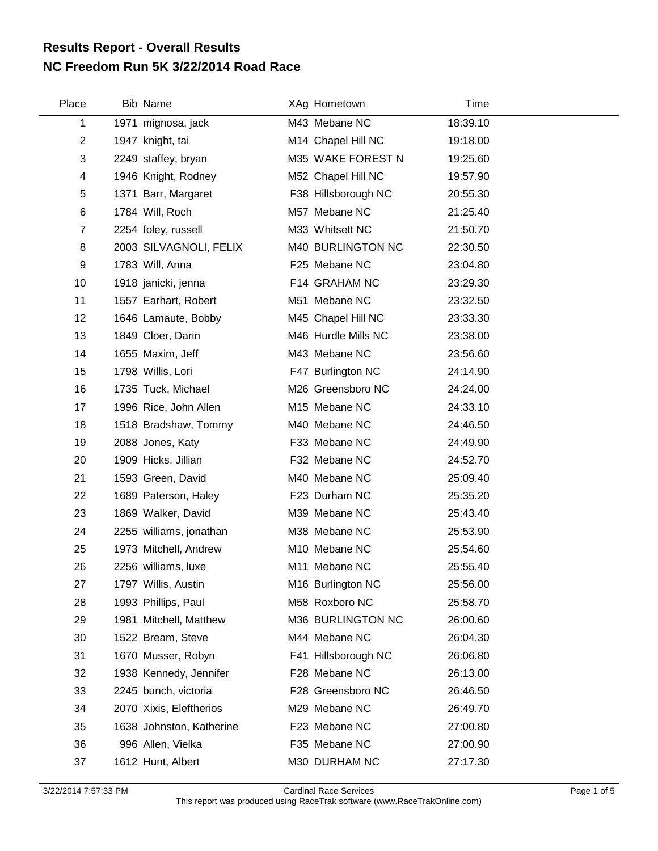## **NC Freedom Run 5K 3/22/2014 Road Race Results Report - Overall Results**

| Place          | <b>Bib Name</b>          | XAg Hometown        | Time     |
|----------------|--------------------------|---------------------|----------|
| 1              | 1971 mignosa, jack       | M43 Mebane NC       | 18:39.10 |
| $\overline{2}$ | 1947 knight, tai         | M14 Chapel Hill NC  | 19:18.00 |
| 3              | 2249 staffey, bryan      | M35 WAKE FOREST N   | 19:25.60 |
| 4              | 1946 Knight, Rodney      | M52 Chapel Hill NC  | 19:57.90 |
| 5              | 1371 Barr, Margaret      | F38 Hillsborough NC | 20:55.30 |
| 6              | 1784 Will, Roch          | M57 Mebane NC       | 21:25.40 |
| $\overline{7}$ | 2254 foley, russell      | M33 Whitsett NC     | 21:50.70 |
| 8              | 2003 SILVAGNOLI, FELIX   | M40 BURLINGTON NC   | 22:30.50 |
| 9              | 1783 Will, Anna          | F25 Mebane NC       | 23:04.80 |
| 10             | 1918 janicki, jenna      | F14 GRAHAM NC       | 23:29.30 |
| 11             | 1557 Earhart, Robert     | M51 Mebane NC       | 23:32.50 |
| 12             | 1646 Lamaute, Bobby      | M45 Chapel Hill NC  | 23:33.30 |
| 13             | 1849 Cloer, Darin        | M46 Hurdle Mills NC | 23:38.00 |
| 14             | 1655 Maxim, Jeff         | M43 Mebane NC       | 23:56.60 |
| 15             | 1798 Willis, Lori        | F47 Burlington NC   | 24:14.90 |
| 16             | 1735 Tuck, Michael       | M26 Greensboro NC   | 24:24.00 |
| 17             | 1996 Rice, John Allen    | M15 Mebane NC       | 24:33.10 |
| 18             | 1518 Bradshaw, Tommy     | M40 Mebane NC       | 24:46.50 |
| 19             | 2088 Jones, Katy         | F33 Mebane NC       | 24:49.90 |
| 20             | 1909 Hicks, Jillian      | F32 Mebane NC       | 24:52.70 |
| 21             | 1593 Green, David        | M40 Mebane NC       | 25:09.40 |
| 22             | 1689 Paterson, Haley     | F23 Durham NC       | 25:35.20 |
| 23             | 1869 Walker, David       | M39 Mebane NC       | 25:43.40 |
| 24             | 2255 williams, jonathan  | M38 Mebane NC       | 25:53.90 |
| 25             | 1973 Mitchell, Andrew    | M10 Mebane NC       | 25:54.60 |
| 26             | 2256 williams, luxe      | M11 Mebane NC       | 25:55.40 |
| 27             | 1797 Willis, Austin      | M16 Burlington NC   | 25:56.00 |
| 28             | 1993 Phillips, Paul      | M58 Roxboro NC      | 25:58.70 |
| 29             | 1981 Mitchell, Matthew   | M36 BURLINGTON NC   | 26:00.60 |
| 30             | 1522 Bream, Steve        | M44 Mebane NC       | 26:04.30 |
| 31             | 1670 Musser, Robyn       | F41 Hillsborough NC | 26:06.80 |
| 32             | 1938 Kennedy, Jennifer   | F28 Mebane NC       | 26:13.00 |
| 33             | 2245 bunch, victoria     | F28 Greensboro NC   | 26:46.50 |
| 34             | 2070 Xixis, Eleftherios  | M29 Mebane NC       | 26:49.70 |
| 35             | 1638 Johnston, Katherine | F23 Mebane NC       | 27:00.80 |
| 36             | 996 Allen, Vielka        | F35 Mebane NC       | 27:00.90 |
| 37             | 1612 Hunt, Albert        | M30 DURHAM NC       | 27:17.30 |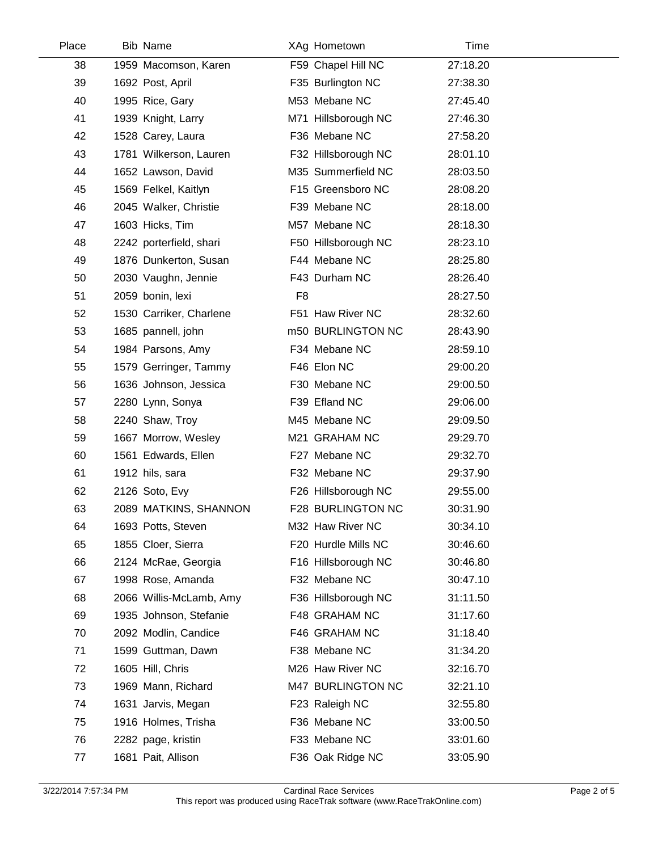| Place | Bib Name                |                | XAg Hometown        | Time     |  |
|-------|-------------------------|----------------|---------------------|----------|--|
| 38    | 1959 Macomson, Karen    |                | F59 Chapel Hill NC  | 27:18.20 |  |
| 39    | 1692 Post, April        |                | F35 Burlington NC   | 27:38.30 |  |
| 40    | 1995 Rice, Gary         |                | M53 Mebane NC       | 27:45.40 |  |
| 41    | 1939 Knight, Larry      |                | M71 Hillsborough NC | 27:46.30 |  |
| 42    | 1528 Carey, Laura       |                | F36 Mebane NC       | 27:58.20 |  |
| 43    | 1781 Wilkerson, Lauren  |                | F32 Hillsborough NC | 28:01.10 |  |
| 44    | 1652 Lawson, David      |                | M35 Summerfield NC  | 28:03.50 |  |
| 45    | 1569 Felkel, Kaitlyn    |                | F15 Greensboro NC   | 28:08.20 |  |
| 46    | 2045 Walker, Christie   |                | F39 Mebane NC       | 28:18.00 |  |
| 47    | 1603 Hicks, Tim         |                | M57 Mebane NC       | 28:18.30 |  |
| 48    | 2242 porterfield, shari |                | F50 Hillsborough NC | 28:23.10 |  |
| 49    | 1876 Dunkerton, Susan   |                | F44 Mebane NC       | 28:25.80 |  |
| 50    | 2030 Vaughn, Jennie     |                | F43 Durham NC       | 28:26.40 |  |
| 51    | 2059 bonin, lexi        | F <sub>8</sub> |                     | 28:27.50 |  |
| 52    | 1530 Carriker, Charlene |                | F51 Haw River NC    | 28:32.60 |  |
| 53    | 1685 pannell, john      |                | m50 BURLINGTON NC   | 28:43.90 |  |
| 54    | 1984 Parsons, Amy       |                | F34 Mebane NC       | 28:59.10 |  |
| 55    | 1579 Gerringer, Tammy   |                | F46 Elon NC         | 29:00.20 |  |
| 56    | 1636 Johnson, Jessica   |                | F30 Mebane NC       | 29:00.50 |  |
| 57    | 2280 Lynn, Sonya        |                | F39 Efland NC       | 29:06.00 |  |
| 58    | 2240 Shaw, Troy         |                | M45 Mebane NC       | 29:09.50 |  |
| 59    | 1667 Morrow, Wesley     |                | M21 GRAHAM NC       | 29:29.70 |  |
| 60    | 1561 Edwards, Ellen     |                | F27 Mebane NC       | 29:32.70 |  |
| 61    | 1912 hils, sara         |                | F32 Mebane NC       | 29:37.90 |  |
| 62    | 2126 Soto, Evy          |                | F26 Hillsborough NC | 29:55.00 |  |
| 63    | 2089 MATKINS, SHANNON   |                | F28 BURLINGTON NC   | 30:31.90 |  |
| 64    | 1693 Potts, Steven      |                | M32 Haw River NC    | 30:34.10 |  |
| 65    | 1855 Cloer, Sierra      |                | F20 Hurdle Mills NC | 30:46.60 |  |
| 66    | 2124 McRae, Georgia     |                | F16 Hillsborough NC | 30:46.80 |  |
| 67    | 1998 Rose, Amanda       |                | F32 Mebane NC       | 30:47.10 |  |
| 68    | 2066 Willis-McLamb, Amy |                | F36 Hillsborough NC | 31:11.50 |  |
| 69    | 1935 Johnson, Stefanie  |                | F48 GRAHAM NC       | 31:17.60 |  |
| 70    | 2092 Modlin, Candice    |                | F46 GRAHAM NC       | 31:18.40 |  |
| 71    | 1599 Guttman, Dawn      |                | F38 Mebane NC       | 31:34.20 |  |
| 72    | 1605 Hill, Chris        |                | M26 Haw River NC    | 32:16.70 |  |
| 73    | 1969 Mann, Richard      |                | M47 BURLINGTON NC   | 32:21.10 |  |
| 74    | 1631 Jarvis, Megan      |                | F23 Raleigh NC      | 32:55.80 |  |
| 75    | 1916 Holmes, Trisha     |                | F36 Mebane NC       | 33:00.50 |  |
| 76    | 2282 page, kristin      |                | F33 Mebane NC       | 33:01.60 |  |
| 77    | 1681 Pait, Allison      |                | F36 Oak Ridge NC    | 33:05.90 |  |

 $\overline{\phantom{a}}$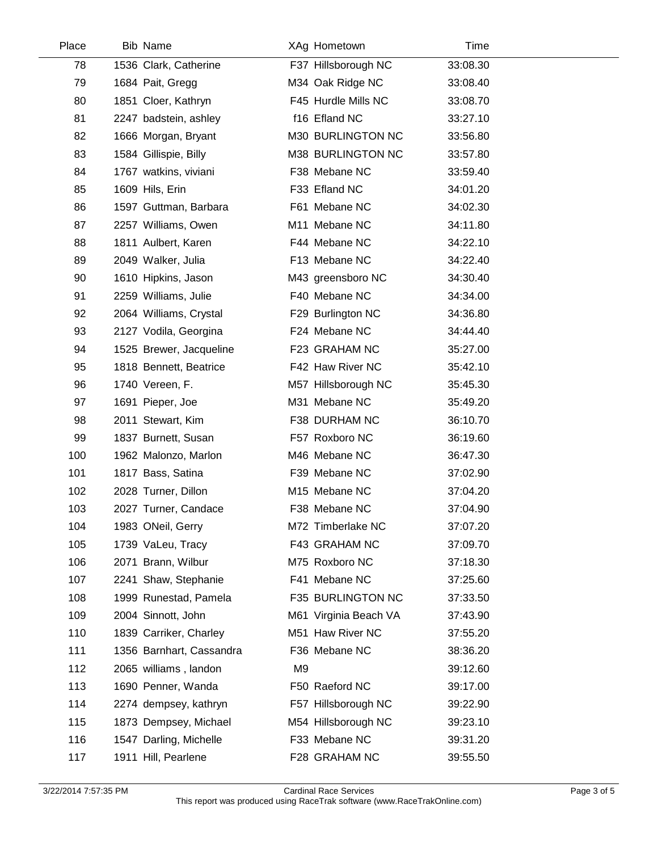| Place | <b>Bib Name</b>          |    | XAg Hometown          | Time     |  |
|-------|--------------------------|----|-----------------------|----------|--|
| 78    | 1536 Clark, Catherine    |    | F37 Hillsborough NC   | 33:08.30 |  |
| 79    | 1684 Pait, Gregg         |    | M34 Oak Ridge NC      | 33:08.40 |  |
| 80    | 1851 Cloer, Kathryn      |    | F45 Hurdle Mills NC   | 33:08.70 |  |
| 81    | 2247 badstein, ashley    |    | f16 Efland NC         | 33:27.10 |  |
| 82    | 1666 Morgan, Bryant      |    | M30 BURLINGTON NC     | 33:56.80 |  |
| 83    | 1584 Gillispie, Billy    |    | M38 BURLINGTON NC     | 33:57.80 |  |
| 84    | 1767 watkins, viviani    |    | F38 Mebane NC         | 33:59.40 |  |
| 85    | 1609 Hils, Erin          |    | F33 Efland NC         | 34:01.20 |  |
| 86    | 1597 Guttman, Barbara    |    | F61 Mebane NC         | 34:02.30 |  |
| 87    | 2257 Williams, Owen      |    | M11 Mebane NC         | 34:11.80 |  |
| 88    | 1811 Aulbert, Karen      |    | F44 Mebane NC         | 34:22.10 |  |
| 89    | 2049 Walker, Julia       |    | F13 Mebane NC         | 34:22.40 |  |
| 90    | 1610 Hipkins, Jason      |    | M43 greensboro NC     | 34:30.40 |  |
| 91    | 2259 Williams, Julie     |    | F40 Mebane NC         | 34:34.00 |  |
| 92    | 2064 Williams, Crystal   |    | F29 Burlington NC     | 34:36.80 |  |
| 93    | 2127 Vodila, Georgina    |    | F24 Mebane NC         | 34:44.40 |  |
| 94    | 1525 Brewer, Jacqueline  |    | F23 GRAHAM NC         | 35:27.00 |  |
| 95    | 1818 Bennett, Beatrice   |    | F42 Haw River NC      | 35:42.10 |  |
| 96    | 1740 Vereen, F.          |    | M57 Hillsborough NC   | 35:45.30 |  |
| 97    | 1691 Pieper, Joe         |    | M31 Mebane NC         | 35:49.20 |  |
| 98    | 2011 Stewart, Kim        |    | F38 DURHAM NC         | 36:10.70 |  |
| 99    | 1837 Burnett, Susan      |    | F57 Roxboro NC        | 36:19.60 |  |
| 100   | 1962 Malonzo, Marlon     |    | M46 Mebane NC         | 36:47.30 |  |
| 101   | 1817 Bass, Satina        |    | F39 Mebane NC         | 37:02.90 |  |
| 102   | 2028 Turner, Dillon      |    | M15 Mebane NC         | 37:04.20 |  |
| 103   | 2027 Turner, Candace     |    | F38 Mebane NC         | 37:04.90 |  |
| 104   | 1983 ONeil, Gerry        |    | M72 Timberlake NC     | 37:07.20 |  |
| 105   | 1739 VaLeu, Tracy        |    | F43 GRAHAM NC         | 37:09.70 |  |
| 106   | 2071 Brann, Wilbur       |    | M75 Roxboro NC        | 37:18.30 |  |
| 107   | 2241 Shaw, Stephanie     |    | F41 Mebane NC         | 37:25.60 |  |
| 108   | 1999 Runestad, Pamela    |    | F35 BURLINGTON NC     | 37:33.50 |  |
| 109   | 2004 Sinnott, John       |    | M61 Virginia Beach VA | 37:43.90 |  |
| 110   | 1839 Carriker, Charley   |    | M51 Haw River NC      | 37:55.20 |  |
| 111   | 1356 Barnhart, Cassandra |    | F36 Mebane NC         | 38:36.20 |  |
| 112   | 2065 williams, landon    | M9 |                       | 39:12.60 |  |
| 113   | 1690 Penner, Wanda       |    | F50 Raeford NC        | 39:17.00 |  |
| 114   | 2274 dempsey, kathryn    |    | F57 Hillsborough NC   | 39:22.90 |  |
| 115   | 1873 Dempsey, Michael    |    | M54 Hillsborough NC   | 39:23.10 |  |
| 116   | 1547 Darling, Michelle   |    | F33 Mebane NC         | 39:31.20 |  |
| 117   | 1911 Hill, Pearlene      |    | F28 GRAHAM NC         | 39:55.50 |  |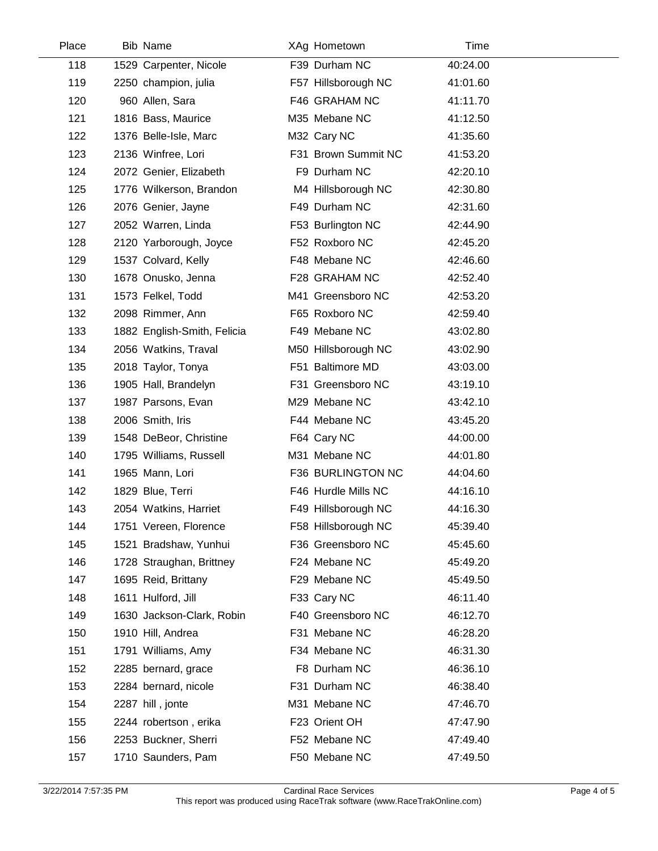| 118<br>119<br>120<br>121<br>122 | 1529 Carpenter, Nicole<br>2250 champion, julia<br>960 Allen, Sara<br>1816 Bass, Maurice<br>1376 Belle-Isle, Marc<br>2136 Winfree, Lori | F39 Durham NC<br>F57 Hillsborough NC<br>F46 GRAHAM NC<br>M35 Mebane NC | 40:24.00<br>41:01.60<br>41:11.70<br>41:12.50 |  |
|---------------------------------|----------------------------------------------------------------------------------------------------------------------------------------|------------------------------------------------------------------------|----------------------------------------------|--|
|                                 |                                                                                                                                        |                                                                        |                                              |  |
|                                 |                                                                                                                                        |                                                                        |                                              |  |
|                                 |                                                                                                                                        |                                                                        |                                              |  |
|                                 |                                                                                                                                        |                                                                        |                                              |  |
|                                 |                                                                                                                                        | M32 Cary NC                                                            | 41:35.60                                     |  |
| 123                             |                                                                                                                                        | F31 Brown Summit NC                                                    | 41:53.20                                     |  |
| 124                             | 2072 Genier, Elizabeth                                                                                                                 | F9 Durham NC                                                           | 42:20.10                                     |  |
| 125                             | 1776 Wilkerson, Brandon                                                                                                                | M4 Hillsborough NC                                                     | 42:30.80                                     |  |
| 126                             | 2076 Genier, Jayne                                                                                                                     | F49 Durham NC                                                          | 42:31.60                                     |  |
| 127                             | 2052 Warren, Linda                                                                                                                     | F53 Burlington NC                                                      | 42:44.90                                     |  |
| 128                             | 2120 Yarborough, Joyce                                                                                                                 | F52 Roxboro NC                                                         | 42:45.20                                     |  |
| 129                             | 1537 Colvard, Kelly                                                                                                                    | F48 Mebane NC                                                          | 42:46.60                                     |  |
| 130                             | 1678 Onusko, Jenna                                                                                                                     | F28 GRAHAM NC                                                          | 42:52.40                                     |  |
| 131                             | 1573 Felkel, Todd                                                                                                                      | M41 Greensboro NC                                                      | 42:53.20                                     |  |
| 132                             | 2098 Rimmer, Ann                                                                                                                       | F65 Roxboro NC                                                         | 42:59.40                                     |  |
| 133                             | 1882 English-Smith, Felicia                                                                                                            | F49 Mebane NC                                                          | 43:02.80                                     |  |
| 134                             | 2056 Watkins, Traval                                                                                                                   | M50 Hillsborough NC                                                    | 43:02.90                                     |  |
| 135                             | 2018 Taylor, Tonya                                                                                                                     | F51 Baltimore MD                                                       | 43:03.00                                     |  |
| 136                             | 1905 Hall, Brandelyn                                                                                                                   | F31 Greensboro NC                                                      | 43:19.10                                     |  |
| 137                             | 1987 Parsons, Evan                                                                                                                     | M29 Mebane NC                                                          | 43:42.10                                     |  |
| 138                             | 2006 Smith, Iris                                                                                                                       | F44 Mebane NC                                                          | 43:45.20                                     |  |
| 139                             | 1548 DeBeor, Christine                                                                                                                 | F64 Cary NC                                                            | 44:00.00                                     |  |
| 140                             | 1795 Williams, Russell                                                                                                                 | M31 Mebane NC                                                          | 44:01.80                                     |  |
| 141                             | 1965 Mann, Lori                                                                                                                        | F36 BURLINGTON NC                                                      | 44:04.60                                     |  |
| 142                             | 1829 Blue, Terri                                                                                                                       | F46 Hurdle Mills NC                                                    | 44:16.10                                     |  |
| 143                             | 2054 Watkins, Harriet                                                                                                                  | F49 Hillsborough NC                                                    | 44:16.30                                     |  |
| 144                             | 1751 Vereen, Florence                                                                                                                  | F58 Hillsborough NC                                                    | 45:39.40                                     |  |
| 145                             | 1521 Bradshaw, Yunhui                                                                                                                  | F36 Greensboro NC                                                      | 45:45.60                                     |  |
| 146                             | 1728 Straughan, Brittney                                                                                                               | F24 Mebane NC                                                          | 45:49.20                                     |  |
| 147                             | 1695 Reid, Brittany                                                                                                                    | F29 Mebane NC                                                          | 45:49.50                                     |  |
| 148                             | 1611 Hulford, Jill                                                                                                                     | F33 Cary NC                                                            | 46:11.40                                     |  |
| 149                             | 1630 Jackson-Clark, Robin                                                                                                              | F40 Greensboro NC                                                      | 46:12.70                                     |  |
| 150                             | 1910 Hill, Andrea                                                                                                                      | F31 Mebane NC                                                          | 46:28.20                                     |  |
| 151                             | 1791 Williams, Amy                                                                                                                     | F34 Mebane NC                                                          | 46:31.30                                     |  |
| 152                             | 2285 bernard, grace                                                                                                                    | F8 Durham NC                                                           | 46:36.10                                     |  |
| 153                             | 2284 bernard, nicole                                                                                                                   | F31 Durham NC                                                          | 46:38.40                                     |  |
| 154                             | 2287 hill, jonte                                                                                                                       | M31 Mebane NC                                                          | 47:46.70                                     |  |
| 155                             | 2244 robertson, erika                                                                                                                  | F23 Orient OH                                                          | 47:47.90                                     |  |
| 156                             | 2253 Buckner, Sherri                                                                                                                   | F52 Mebane NC                                                          | 47:49.40                                     |  |
| 157                             | 1710 Saunders, Pam                                                                                                                     | F50 Mebane NC                                                          | 47:49.50                                     |  |

 $\overline{\phantom{a}}$